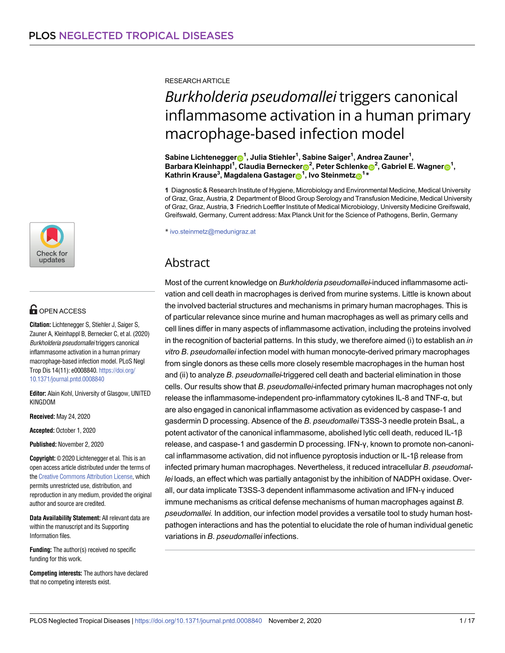

# **OPEN ACCESS**

**Citation:** Lichtenegger S, Stiehler J, Saiger S, Zauner A, Kleinhappl B, Bernecker C, et al. (2020) Burkholderia pseudomallei triggers canonical inflammasome activation in a human primary macrophage-based infection model. PLoS Negl Trop Dis 14(11): e0008840. [https://doi.org/](https://doi.org/10.1371/journal.pntd.0008840) [10.1371/journal.pntd.0008840](https://doi.org/10.1371/journal.pntd.0008840)

**Editor:** Alain Kohl, University of Glasgow, UNITED KINGDOM

**Received:** May 24, 2020

**Accepted:** October 1, 2020

**Published:** November 2, 2020

**Copyright:** © 2020 Lichtenegger et al. This is an open access article distributed under the terms of the [Creative Commons Attribution License,](http://creativecommons.org/licenses/by/4.0/) which permits unrestricted use, distribution, and reproduction in any medium, provided the original author and source are credited.

**Data Availability Statement:** All relevant data are within the manuscript and its Supporting Information files.

**Funding:** The author(s) received no specific funding for this work.

**Competing interests:** The authors have declared that no competing interests exist.

RESEARCH ARTICLE

# *Burkholderia pseudomallei* triggers canonical inflammasome activation in a human primary macrophage-based infection model

 $\boldsymbol{\delta}$ Sabine Lichtenegger $\boldsymbol{\Theta}^1$ , Julia Stiehler<sup>1</sup>, Sabine Saiger<sup>1</sup>, Andrea Zauner<sup>1</sup>,  ${\sf Barbara\ Kleinhappl^1, Claudia\ Berneches}$ <sup>2</sup>, Peter Schlenke ${\sf D}^2,$  Gabriel E. Wagner ${\sf D}^1,$  $\mathsf{K}$ athrin Krause $^3$ , Magdalena Gastager $\mathsf{D}^1$ , Ivo Steinmetz $\mathsf{D}^{1\,*}$ 

**1** Diagnostic & Research Institute of Hygiene, Microbiology and Environmental Medicine, Medical University of Graz, Graz, Austria, **2** Department of Blood Group Serology and Transfusion Medicine, Medical University of Graz, Graz, Austria, **3** Friedrich Loeffler Institute of Medical Microbiology, University Medicine Greifswald, Greifswald, Germany, Current address: Max Planck Unit for the Science of Pathogens, Berlin, Germany

\* ivo.steinmetz@medunigraz.at

# Abstract

Most of the current knowledge on *Burkholderia pseudomallei*-induced inflammasome activation and cell death in macrophages is derived from murine systems. Little is known about the involved bacterial structures and mechanisms in primary human macrophages. This is of particular relevance since murine and human macrophages as well as primary cells and cell lines differ in many aspects of inflammasome activation, including the proteins involved in the recognition of bacterial patterns. In this study, we therefore aimed (i) to establish an *in vitro B*. *pseudomallei* infection model with human monocyte-derived primary macrophages from single donors as these cells more closely resemble macrophages in the human host and (ii) to analyze *B*. *pseudomallei*-triggered cell death and bacterial elimination in those cells. Our results show that *B*. *pseudomallei-*infected primary human macrophages not only release the inflammasome-independent pro-inflammatory cytokines IL-8 and TNF-α, but are also engaged in canonical inflammasome activation as evidenced by caspase-1 and gasdermin D processing. Absence of the *B*. *pseudomallei* T3SS-3 needle protein BsaL, a potent activator of the canonical inflammasome, abolished lytic cell death, reduced IL-1β release, and caspase-1 and gasdermin D processing. IFN-γ, known to promote non-canonical inflammasome activation, did not influence pyroptosis induction or IL-1β release from infected primary human macrophages. Nevertheless, it reduced intracellular *B*. *pseudomallei* loads, an effect which was partially antagonist by the inhibition of NADPH oxidase. Overall, our data implicate T3SS-3 dependent inflammasome activation and IFN-γ induced immune mechanisms as critical defense mechanisms of human macrophages against *B*. *pseudomallei*. In addition, our infection model provides a versatile tool to study human hostpathogen interactions and has the potential to elucidate the role of human individual genetic variations in *B*. *pseudomallei* infections.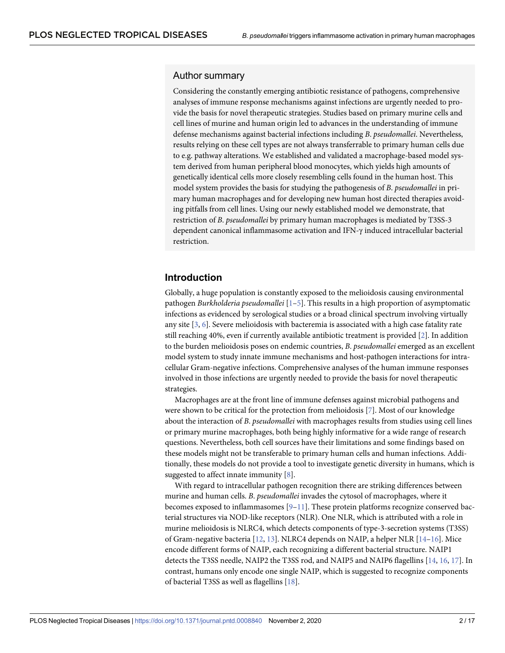#### <span id="page-1-0"></span>Author summary

Considering the constantly emerging antibiotic resistance of pathogens, comprehensive analyses of immune response mechanisms against infections are urgently needed to provide the basis for novel therapeutic strategies. Studies based on primary murine cells and cell lines of murine and human origin led to advances in the understanding of immune defense mechanisms against bacterial infections including *B*. *pseudomallei*. Nevertheless, results relying on these cell types are not always transferrable to primary human cells due to e.g. pathway alterations. We established and validated a macrophage-based model system derived from human peripheral blood monocytes, which yields high amounts of genetically identical cells more closely resembling cells found in the human host. This model system provides the basis for studying the pathogenesis of *B*. *pseudomallei* in primary human macrophages and for developing new human host directed therapies avoiding pitfalls from cell lines. Using our newly established model we demonstrate, that restriction of *B*. *pseudomallei* by primary human macrophages is mediated by T3SS-3 dependent canonical inflammasome activation and IFN-γ induced intracellular bacterial restriction.

## **Introduction**

Globally, a huge population is constantly exposed to the melioidosis causing environmental pathogen *Burkholderia pseudomallei* [\[1–5\]](#page-13-0). This results in a high proportion of asymptomatic infections as evidenced by serological studies or a broad clinical spectrum involving virtually any site [[3](#page-13-0), [6\]](#page-13-0). Severe melioidosis with bacteremia is associated with a high case fatality rate still reaching 40%, even if currently available antibiotic treatment is provided [\[2](#page-13-0)]. In addition to the burden melioidosis poses on endemic countries, *B*. *pseudomallei* emerged as an excellent model system to study innate immune mechanisms and host-pathogen interactions for intracellular Gram-negative infections. Comprehensive analyses of the human immune responses involved in those infections are urgently needed to provide the basis for novel therapeutic strategies.

Macrophages are at the front line of immune defenses against microbial pathogens and were shown to be critical for the protection from melioidosis [[7](#page-13-0)]. Most of our knowledge about the interaction of *B*. *pseudomallei* with macrophages results from studies using cell lines or primary murine macrophages, both being highly informative for a wide range of research questions. Nevertheless, both cell sources have their limitations and some findings based on these models might not be transferable to primary human cells and human infections. Additionally, these models do not provide a tool to investigate genetic diversity in humans, which is suggested to affect innate immunity [[8\]](#page-13-0).

With regard to intracellular pathogen recognition there are striking differences between murine and human cells. *B*. *pseudomallei* invades the cytosol of macrophages, where it becomes exposed to inflammasomes  $[9-11]$ . These protein platforms recognize conserved bacterial structures via NOD-like receptors (NLR). One NLR, which is attributed with a role in murine melioidosis is NLRC4, which detects components of type-3-secretion systems (T3SS) of Gram-negative bacteria [[12](#page-13-0), [13](#page-14-0)]. NLRC4 depends on NAIP, a helper NLR [[14–16\]](#page-14-0). Mice encode different forms of NAIP, each recognizing a different bacterial structure. NAIP1 detects the T3SS needle, NAIP2 the T3SS rod, and NAIP5 and NAIP6 flagellins [\[14,](#page-14-0) [16,](#page-14-0) [17\]](#page-14-0). In contrast, humans only encode one single NAIP, which is suggested to recognize components of bacterial T3SS as well as flagellins [\[18\]](#page-14-0).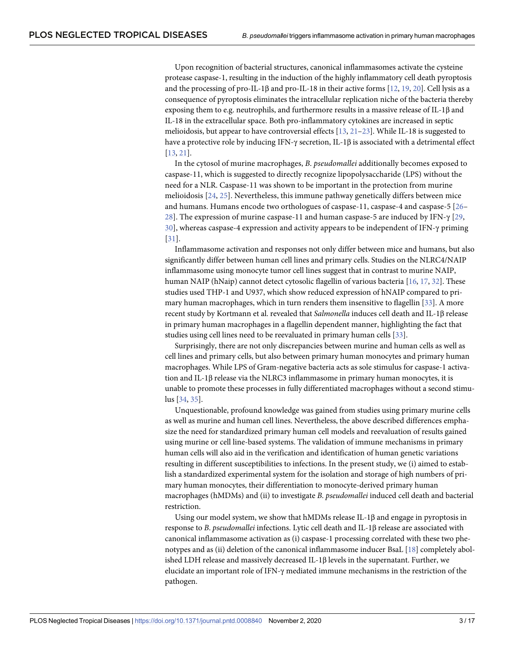<span id="page-2-0"></span>Upon recognition of bacterial structures, canonical inflammasomes activate the cysteine protease caspase-1, resulting in the induction of the highly inflammatory cell death pyroptosis and the processing of pro-IL-1β and pro-IL-18 in their active forms [[12](#page-13-0), [19](#page-14-0), [20](#page-14-0)]. Cell lysis as a consequence of pyroptosis eliminates the intracellular replication niche of the bacteria thereby exposing them to e.g. neutrophils, and furthermore results in a massive release of IL-1β and IL-18 in the extracellular space. Both pro-inflammatory cytokines are increased in septic melioidosis, but appear to have controversial effects [[13](#page-14-0), [21–23\]](#page-14-0). While IL-18 is suggested to have a protective role by inducing IFN-γ secretion, IL-1β is associated with a detrimental effect [\[13,](#page-14-0) [21\]](#page-14-0).

In the cytosol of murine macrophages, *B*. *pseudomallei* additionally becomes exposed to caspase-11, which is suggested to directly recognize lipopolysaccharide (LPS) without the need for a NLR. Caspase-11 was shown to be important in the protection from murine melioidosis [\[24,](#page-14-0) [25](#page-14-0)]. Nevertheless, this immune pathway genetically differs between mice and humans. Humans encode two orthologues of caspase-11, caspase-4 and caspase-5 [\[26](#page-14-0)– [28\]](#page-15-0). The expression of murine caspase-11 and human caspase-5 are induced by IFN- $\gamma$  [[29](#page-15-0), [30\]](#page-15-0), whereas caspase-4 expression and activity appears to be independent of IFN-γ priming [\[31](#page-15-0)].

Inflammasome activation and responses not only differ between mice and humans, but also significantly differ between human cell lines and primary cells. Studies on the NLRC4/NAIP inflammasome using monocyte tumor cell lines suggest that in contrast to murine NAIP, human NAIP (hNaip) cannot detect cytosolic flagellin of various bacteria [[16](#page-14-0), [17](#page-14-0), [32](#page-15-0)]. These studies used THP-1 and U937, which show reduced expression of hNAIP compared to primary human macrophages, which in turn renders them insensitive to flagellin [[33](#page-15-0)]. A more recent study by Kortmann et al. revealed that *Salmonella* induces cell death and IL-1β release in primary human macrophages in a flagellin dependent manner, highlighting the fact that studies using cell lines need to be reevaluated in primary human cells [\[33\]](#page-15-0).

Surprisingly, there are not only discrepancies between murine and human cells as well as cell lines and primary cells, but also between primary human monocytes and primary human macrophages. While LPS of Gram-negative bacteria acts as sole stimulus for caspase-1 activation and IL-1β release via the NLRC3 inflammasome in primary human monocytes, it is unable to promote these processes in fully differentiated macrophages without a second stimulus [\[34](#page-15-0), [35](#page-15-0)].

Unquestionable, profound knowledge was gained from studies using primary murine cells as well as murine and human cell lines. Nevertheless, the above described differences emphasize the need for standardized primary human cell models and reevaluation of results gained using murine or cell line-based systems. The validation of immune mechanisms in primary human cells will also aid in the verification and identification of human genetic variations resulting in different susceptibilities to infections. In the present study, we (i) aimed to establish a standardized experimental system for the isolation and storage of high numbers of primary human monocytes, their differentiation to monocyte-derived primary human macrophages (hMDMs) and (ii) to investigate *B*. *pseudomallei* induced cell death and bacterial restriction.

Using our model system, we show that hMDMs release IL-1 $\beta$  and engage in pyroptosis in response to *B*. *pseudomallei* infections. Lytic cell death and IL-1β release are associated with canonical inflammasome activation as (i) caspase-1 processing correlated with these two phenotypes and as (ii) deletion of the canonical inflammasome inducer BsaL [[18](#page-14-0)] completely abolished LDH release and massively decreased IL-1β levels in the supernatant. Further, we elucidate an important role of IFN-γ mediated immune mechanisms in the restriction of the pathogen.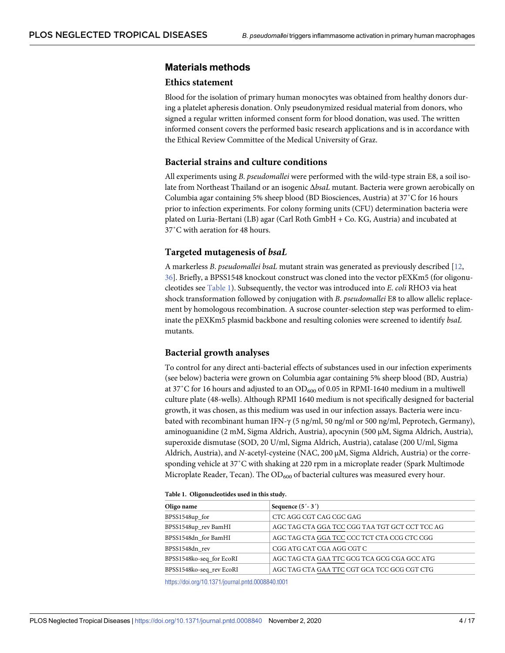### <span id="page-3-0"></span>**Materials methods**

#### **Ethics statement**

Blood for the isolation of primary human monocytes was obtained from healthy donors during a platelet apheresis donation. Only pseudonymized residual material from donors, who signed a regular written informed consent form for blood donation, was used. The written informed consent covers the performed basic research applications and is in accordance with the Ethical Review Committee of the Medical University of Graz.

#### **Bacterial strains and culture conditions**

All experiments using *B*. *pseudomallei* were performed with the wild-type strain E8, a soil isolate from Northeast Thailand or an isogenic Δ*bsaL* mutant. Bacteria were grown aerobically on Columbia agar containing 5% sheep blood (BD Biosciences, Austria) at 37˚C for 16 hours prior to infection experiments. For colony forming units (CFU) determination bacteria were plated on Luria-Bertani (LB) agar (Carl Roth GmbH + Co. KG, Austria) and incubated at 37˚C with aeration for 48 hours.

#### **Targeted mutagenesis of** *bsaL*

A markerless *B*. *pseudomallei bsaL* mutant strain was generated as previously described [[12](#page-13-0), [36\]](#page-15-0). Briefly, a BPSS1548 knockout construct was cloned into the vector pEXKm5 (for oligonucleotides see Table 1). Subsequently, the vector was introduced into *E*. *coli* RHO3 via heat shock transformation followed by conjugation with *B*. *pseudomallei* E8 to allow allelic replacement by homologous recombination. A sucrose counter-selection step was performed to eliminate the pEXKm5 plasmid backbone and resulting colonies were screened to identify *bsaL* mutants.

#### **Bacterial growth analyses**

To control for any direct anti-bacterial effects of substances used in our infection experiments (see below) bacteria were grown on Columbia agar containing 5% sheep blood (BD, Austria) at 37°C for 16 hours and adjusted to an  $OD_{600}$  of 0.05 in RPMI-1640 medium in a multiwell culture plate (48-wells). Although RPMI 1640 medium is not specifically designed for bacterial growth, it was chosen, as this medium was used in our infection assays. Bacteria were incubated with recombinant human IFN-γ (5 ng/ml, 50 ng/ml or 500 ng/ml, Peprotech, Germany), aminoguanidine (2 mM, Sigma Aldrich, Austria), apocynin (500 µM, Sigma Aldrich, Austria), superoxide dismutase (SOD, 20 U/ml, Sigma Aldrich, Austria), catalase (200 U/ml, Sigma Aldrich, Austria), and *N*-acetyl-cysteine (NAC, 200 µM, Sigma Aldrich, Austria) or the corresponding vehicle at 37˚C with shaking at 220 rpm in a microplate reader (Spark Multimode Microplate Reader, Tecan). The  $OD_{600}$  of bacterial cultures was measured every hour.

|  | Table 1. Oligonucleotides used in this study. |  |  |
|--|-----------------------------------------------|--|--|
|--|-----------------------------------------------|--|--|

| Oligo name               | Sequence $(5' - 3')$                           |  |
|--------------------------|------------------------------------------------|--|
| BPSS1548up_for           | CTC AGG CGT CAG CGC GAG                        |  |
| BPSS1548up_rev BamHI     | AGC TAG CTA GGA TCC CGG TAA TGT GCT CCT TCC AG |  |
| BPSS1548dn for BamHI     | AGC TAG CTA GGA TCC CCC TCT CTA CCG CTC CGG    |  |
| BPSS1548dn rev           | CGG ATG CAT CGA AGG CGT C                      |  |
| BPSS1548ko-seq_for EcoRI | AGC TAG CTA GAA TTC GCG TCA GCG CGA GCC ATG    |  |
| BPSS1548ko-seq_rev EcoRI | AGC TAG CTA GAA TTC CGT GCA TCC GCG CGT CTG    |  |

<https://doi.org/10.1371/journal.pntd.0008840.t001>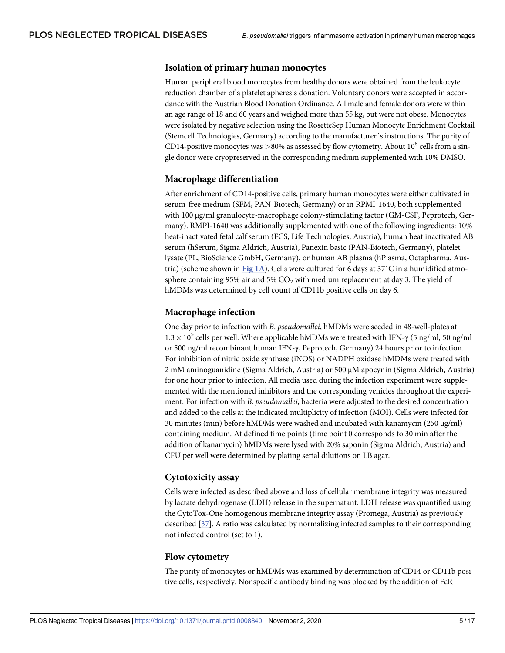#### <span id="page-4-0"></span>**Isolation of primary human monocytes**

Human peripheral blood monocytes from healthy donors were obtained from the leukocyte reduction chamber of a platelet apheresis donation. Voluntary donors were accepted in accordance with the Austrian Blood Donation Ordinance. All male and female donors were within an age range of 18 and 60 years and weighed more than 55 kg, but were not obese. Monocytes were isolated by negative selection using the RosetteSep Human Monocyte Enrichment Cocktail (Stemcell Technologies, Germany) according to the manufacturer´s instructions. The purity of CD14-positive monocytes was >80% as assessed by flow cytometry. About 10<sup>8</sup> cells from a single donor were cryopreserved in the corresponding medium supplemented with 10% DMSO.

#### **Macrophage differentiation**

After enrichment of CD14-positive cells, primary human monocytes were either cultivated in serum-free medium (SFM, PAN-Biotech, Germany) or in RPMI-1640, both supplemented with 100  $\mu$ g/ml granulocyte-macrophage colony-stimulating factor (GM-CSF, Peprotech, Germany). RMPI-1640 was additionally supplemented with one of the following ingredients: 10% heat-inactivated fetal calf serum (FCS, Life Technologies, Austria), human heat inactivated AB serum (hSerum, Sigma Aldrich, Austria), Panexin basic (PAN-Biotech, Germany), platelet lysate (PL, BioScience GmbH, Germany), or human AB plasma (hPlasma, Octapharma, Austria) (scheme shown in **[Fig 1A](#page-5-0)**). Cells were cultured for 6 days at 37˚C in a humidified atmosphere containing 95% air and 5%  $CO<sub>2</sub>$  with medium replacement at day 3. The yield of hMDMs was determined by cell count of CD11b positive cells on day 6.

#### **Macrophage infection**

One day prior to infection with *B*. *pseudomallei*, hMDMs were seeded in 48-well-plates at  $1.3 \times 10^5$  cells per well. Where applicable hMDMs were treated with IFN- $\gamma$  (5 ng/ml, 50 ng/ml or 500 ng/ml recombinant human IFN-γ, Peprotech, Germany) 24 hours prior to infection. For inhibition of nitric oxide synthase (iNOS) or NADPH oxidase hMDMs were treated with 2 mM aminoguanidine (Sigma Aldrich, Austria) or 500 µM apocynin (Sigma Aldrich, Austria) for one hour prior to infection. All media used during the infection experiment were supplemented with the mentioned inhibitors and the corresponding vehicles throughout the experiment. For infection with *B*. *pseudomallei*, bacteria were adjusted to the desired concentration and added to the cells at the indicated multiplicity of infection (MOI). Cells were infected for 30 minutes (min) before hMDMs were washed and incubated with kanamycin ( $250 \mu g/ml$ ) containing medium. At defined time points (time point 0 corresponds to 30 min after the addition of kanamycin) hMDMs were lysed with 20% saponin (Sigma Aldrich, Austria) and CFU per well were determined by plating serial dilutions on LB agar.

#### **Cytotoxicity assay**

Cells were infected as described above and loss of cellular membrane integrity was measured by lactate dehydrogenase (LDH) release in the supernatant. LDH release was quantified using the CytoTox-One homogenous membrane integrity assay (Promega, Austria) as previously described [[37](#page-15-0)]. A ratio was calculated by normalizing infected samples to their corresponding not infected control (set to 1).

#### **Flow cytometry**

The purity of monocytes or hMDMs was examined by determination of CD14 or CD11b positive cells, respectively. Nonspecific antibody binding was blocked by the addition of FcR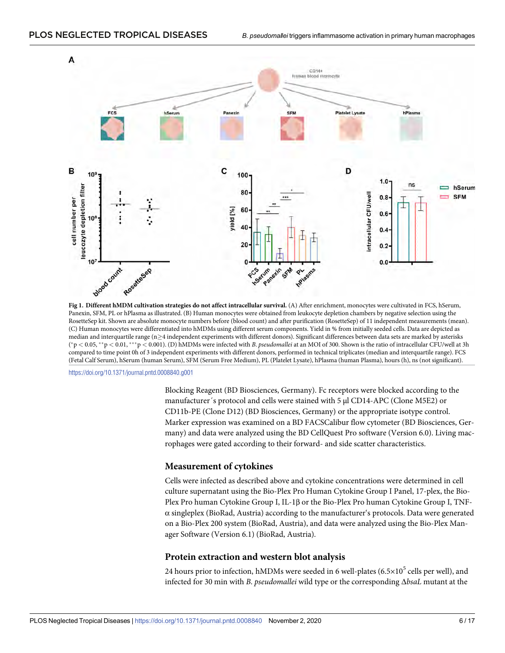<span id="page-5-0"></span>

**[Fig 1. D](#page-4-0)ifferent hMDM cultivation strategies do not affect intracellular survival.** (A) After enrichment, monocytes were cultivated in FCS, hSerum, Panexin, SFM, PL or hPlasma as illustrated. (B) Human monocytes were obtained from leukocyte depletion chambers by negative selection using the RosetteSep kit. Shown are absolute monocyte numbers before (blood count) and after purification (RosetteSep) of 11 independent measurements (mean). (C) Human monocytes were differentiated into hMDMs using different serum components. Yield in % from initially seeded cells. Data are depicted as median and interquartile range (n 
independent experiments with different donors). Significant differences between data sets are marked by asterisks ( �p *<* 0.05, ��p *<* 0.01, ���p *<* 0.001). (D) hMDMs were infected with *B*. *pseudomallei* at an MOI of 300. Shown is the ratio of intracellular CFU/well at 3h compared to time point 0h of 3 independent experiments with different donors, performed in technical triplicates (median and interquartile range). FCS (Fetal Calf Serum), hSerum (human Serum), SFM (Serum Free Medium), PL (Platelet Lysate), hPlasma (human Plasma), hours (h), ns (not significant).

<https://doi.org/10.1371/journal.pntd.0008840.g001>

Blocking Reagent (BD Biosciences, Germany). Fc receptors were blocked according to the manufacturer's protocol and cells were stained with 5 µl CD14-APC (Clone M5E2) or CD11b-PE (Clone D12) (BD Biosciences, Germany) or the appropriate isotype control. Marker expression was examined on a BD FACSCalibur flow cytometer (BD Biosciences, Germany) and data were analyzed using the BD CellQuest Pro software (Version 6.0). Living macrophages were gated according to their forward- and side scatter characteristics.

#### **Measurement of cytokines**

Cells were infected as described above and cytokine concentrations were determined in cell culture supernatant using the Bio-Plex Pro Human Cytokine Group I Panel, 17-plex, the Bio-Plex Pro human Cytokine Group I, IL-1β or the Bio-Plex Pro human Cytokine Group I, TNF- $\alpha$  singleplex (BioRad, Austria) according to the manufacturer's protocols. Data were generated on a Bio-Plex 200 system (BioRad, Austria), and data were analyzed using the Bio-Plex Manager Software (Version 6.1) (BioRad, Austria).

#### **Protein extraction and western blot analysis**

24 hours prior to infection, hMDMs were seeded in 6 well-plates ( $6.5 \times 10^5$  cells per well), and infected for 30 min with *B*. *pseudomallei* wild type or the corresponding Δ*bsaL* mutant at the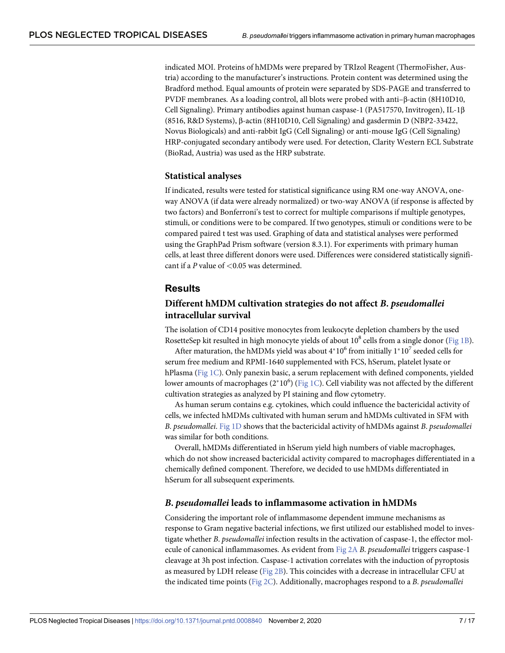<span id="page-6-0"></span>indicated MOI. Proteins of hMDMs were prepared by TRIzol Reagent (ThermoFisher, Austria) according to the manufacturer's instructions. Protein content was determined using the Bradford method. Equal amounts of protein were separated by SDS-PAGE and transferred to PVDF membranes. As a loading control, all blots were probed with anti–β-actin (8H10D10, Cell Signaling). Primary antibodies against human caspase-1 (PA517570, Invitrogen), IL-1β (8516, R&D Systems), β-actin (8H10D10, Cell Signaling) and gasdermin D (NBP2-33422, Novus Biologicals) and anti-rabbit IgG (Cell Signaling) or anti-mouse IgG (Cell Signaling) HRP-conjugated secondary antibody were used. For detection, Clarity Western ECL Substrate (BioRad, Austria) was used as the HRP substrate.

#### **Statistical analyses**

If indicated, results were tested for statistical significance using RM one-way ANOVA, oneway ANOVA (if data were already normalized) or two-way ANOVA (if response is affected by two factors) and Bonferroni's test to correct for multiple comparisons if multiple genotypes, stimuli, or conditions were to be compared. If two genotypes, stimuli or conditions were to be compared paired t test was used. Graphing of data and statistical analyses were performed using the GraphPad Prism software (version 8.3.1). For experiments with primary human cells, at least three different donors were used. Differences were considered statistically significant if a *P* value of *<*0.05 was determined.

#### **Results**

# **Different hMDM cultivation strategies do not affect** *B***.** *pseudomallei* **intracellular survival**

The isolation of CD14 positive monocytes from leukocyte depletion chambers by the used RosetteSep kit resulted in high monocyte yields of about  $10^8$  cells from a single donor ([Fig 1B](#page-5-0)).

After maturation, the hMDMs yield was about  $4*10^6$  from initially  $1*10^7$  seeded cells for serum free medium and RPMI-1640 supplemented with FCS, hSerum, platelet lysate or hPlasma [\(Fig 1C\)](#page-5-0). Only panexin basic, a serum replacement with defined components, yielded lower amounts of macrophages (2\*10<sup>6</sup>) (<u>Fig 1C</u>). Cell viability was not affected by the different cultivation strategies as analyzed by PI staining and flow cytometry.

As human serum contains e.g. cytokines, which could influence the bactericidal activity of cells, we infected hMDMs cultivated with human serum and hMDMs cultivated in SFM with *B*. *pseudomallei*. [Fig 1D](#page-5-0) shows that the bactericidal activity of hMDMs against *B*. *pseudomallei* was similar for both conditions.

Overall, hMDMs differentiated in hSerum yield high numbers of viable macrophages, which do not show increased bactericidal activity compared to macrophages differentiated in a chemically defined component. Therefore, we decided to use hMDMs differentiated in hSerum for all subsequent experiments.

#### *B***.** *pseudomallei* **leads to inflammasome activation in hMDMs**

Considering the important role of inflammasome dependent immune mechanisms as response to Gram negative bacterial infections, we first utilized our established model to investigate whether *B*. *pseudomallei* infection results in the activation of caspase-1, the effector molecule of canonical inflammasomes. As evident from [Fig 2A](#page-7-0) *B*. *pseudomallei* triggers caspase-1 cleavage at 3h post infection. Caspase-1 activation correlates with the induction of pyroptosis as measured by LDH release [\(Fig 2B](#page-7-0)). This coincides with a decrease in intracellular CFU at the indicated time points ([Fig 2C](#page-7-0)). Additionally, macrophages respond to a *B*. *pseudomallei*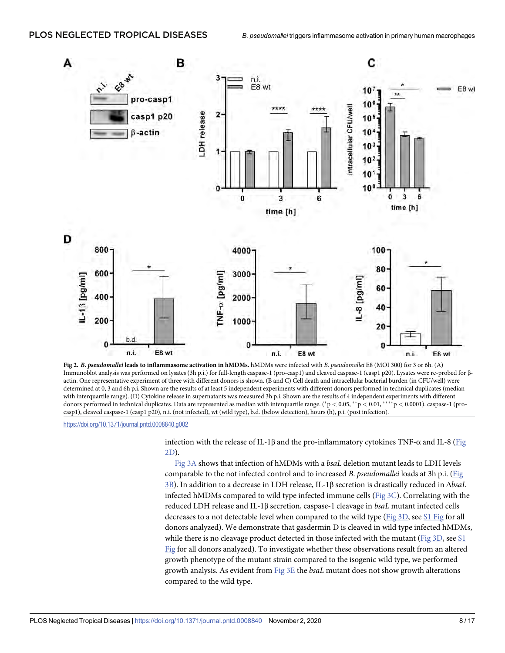<span id="page-7-0"></span>

**[Fig 2.](#page-6-0)** *B***.** *pseudomallei* **leads to inflammasome activation in hMDMs.** hMDMs were infected with *B*. *pseudomallei* E8 (MOI 300) for 3 or 6h. (A) Immunoblot analysis was performed on lysates (3h p.i.) for full-length caspase-1 (pro-casp1) and cleaved caspase-1 (casp1 p20). Lysates were re-probed for βactin. One representative experiment of three with different donors is shown. (B and C) Cell death and intracellular bacterial burden (in CFU/well) were determined at 0, 3 and 6h p.i. Shown are the results of at least 5 independent experiments with different donors performed in technical duplicates (median with interquartile range). (D) Cytokine release in supernatants was measured 3h p.i. Shown are the results of 4 independent experiments with different donors performed in technical duplicates. Data are represented as median with interquartile range. (\*p < 0.05, \*\*p < 0.01, \*\*\*\*p < 0.0001). caspase-1 (procasp1), cleaved caspase-1 (casp1 p20), n.i. (not infected), wt (wild type), b.d. (below detection), hours (h), p.i. (post infection).

<https://doi.org/10.1371/journal.pntd.0008840.g002>

infection with the release of IL-1β and the pro-inflammatory cytokines TNF-α and IL-8 (Fig 2D).

[Fig 3A](#page-8-0) shows that infection of hMDMs with a *bsaL* deletion mutant leads to LDH levels comparable to the not infected control and to increased *B*. *pseudomallei* loads at 3h p.i. [\(Fig](#page-8-0) [3B\)](#page-8-0). In addition to a decrease in LDH release, IL-1β secretion is drastically reduced in Δ*bsaL* infected hMDMs compared to wild type infected immune cells ([Fig 3C](#page-8-0)). Correlating with the reduced LDH release and IL-1β secretion, caspase-1 cleavage in *bsaL* mutant infected cells decreases to a not detectable level when compared to the wild type [\(Fig 3D,](#page-8-0) see [S1 Fig](#page-12-0) for all donors analyzed). We demonstrate that gasdermin D is cleaved in wild type infected hMDMs, while there is no cleavage product detected in those infected with the mutant ([Fig 3D,](#page-8-0) see [S1](#page-12-0)) [Fig](#page-12-0) for all donors analyzed). To investigate whether these observations result from an altered growth phenotype of the mutant strain compared to the isogenic wild type, we performed growth analysis. As evident from [Fig 3E](#page-8-0) the *bsaL* mutant does not show growth alterations compared to the wild type.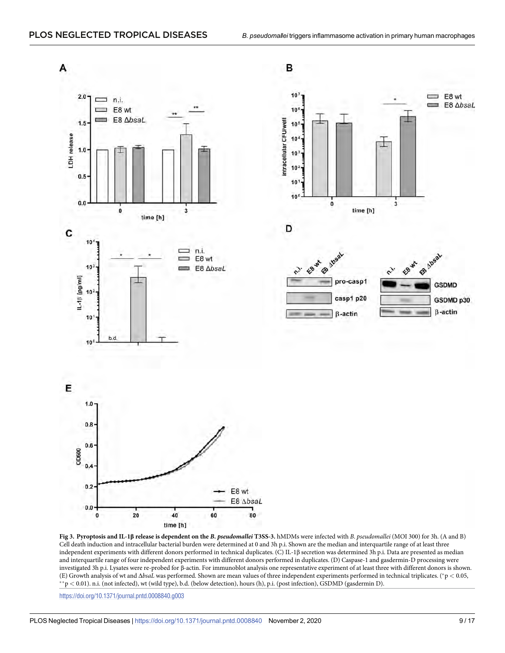<span id="page-8-0"></span>

**[Fig 3. P](#page-7-0)yroptosis and IL-1β release is dependent on the** *B***.** *pseudomallei* **T3SS-3.** hMDMs were infected with *B*. *pseudomallei* (MOI 300) for 3h. (A and B) Cell death induction and intracellular bacterial burden were determined at 0 and 3h p.i. Shown are the median and interquartile range of at least three independent experiments with different donors performed in technical duplicates. (C) IL-1β secretion was determined 3h p.i. Data are presented as median and interquartile range of four independent experiments with different donors performed in duplicates. (D) Caspase-1 and gasdermin-D processing were investigated 3h p.i. Lysates were re-probed for β-actin. For immunoblot analysis one representative experiment of at least three with different donors is shown. (E) Growth analysis of wt and  $\Delta b$ saL was performed. Shown are mean values of three independent experiments performed in technical triplicates. (\*p < 0.05, \*\*p < 0.01). n.i. (not infected), wt (wild type), b.d. (below de

<https://doi.org/10.1371/journal.pntd.0008840.g003>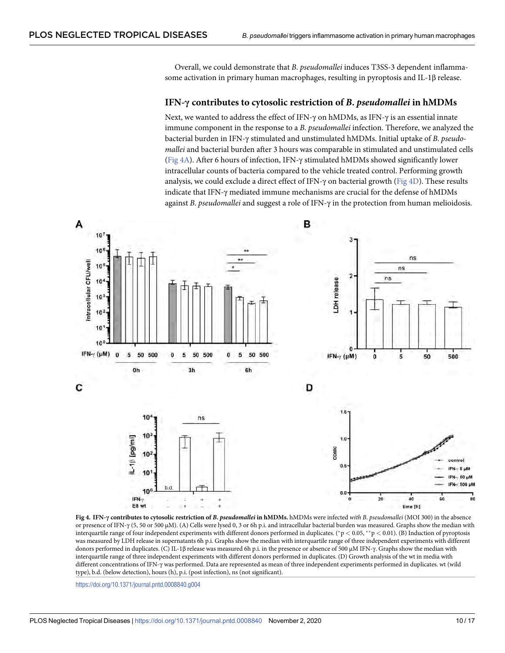<span id="page-9-0"></span>Overall, we could demonstrate that *B*. *pseudomallei* induces T3SS-3 dependent inflammasome activation in primary human macrophages, resulting in pyroptosis and IL-1β release.

#### **IFN-γ contributes to cytosolic restriction of** *B***.** *pseudomallei* **in hMDMs**

Next, we wanted to address the effect of IFN-γ on hMDMs, as IFN-γ is an essential innate immune component in the response to a *B*. *pseudomallei* infection. Therefore, we analyzed the bacterial burden in IFN-γ stimulated and unstimulated hMDMs. Initial uptake of *B*. *pseudomallei* and bacterial burden after 3 hours was comparable in stimulated and unstimulated cells (Fig 4A). After 6 hours of infection, IFN-γ stimulated hMDMs showed significantly lower intracellular counts of bacteria compared to the vehicle treated control. Performing growth analysis, we could exclude a direct effect of IFN- $\gamma$  on bacterial growth (Fig 4D). These results indicate that IFN-γ mediated immune mechanisms are crucial for the defense of hMDMs against *B*. *pseudomallei* and suggest a role of IFN-γ in the protection from human melioidosis.



**Fig 4. IFN-γ contributes to cytosolic restriction of** *B***.** *pseudomallei* **in hMDMs.** hMDMs were infected *with B*. *pseudomallei* (MOI 300) in the absence or presence of IFN-γ (5, 50 or 500 µM). (A) Cells were lysed 0, 3 or 6h p.i. and intracellular bacterial burden was measured. Graphs show the median with interquartile range of four independent experiments with different donors performed in duplicates. ( $\gamma$  < 0.05, \*\*  $p$  < 0.01). (B) Induction of pyroptosis was measured by LDH release in supernatants 6h p.i. Graphs show the median with interquartile range of three independent experiments with different donors performed in duplicates. (C) IL-1β release was measured 6h p.i. in the presence or absence of 500 µM IFN-γ. Graphs show the median with interquartile range of three independent experiments with different donors performed in duplicates. (D) Growth analysis of the wt in media with different concentrations of IFN-γ was performed. Data are represented as mean of three independent experiments performed in duplicates. wt (wild type), b.d. (below detection), hours (h), p.i. (post infection), ns (not significant).

<https://doi.org/10.1371/journal.pntd.0008840.g004>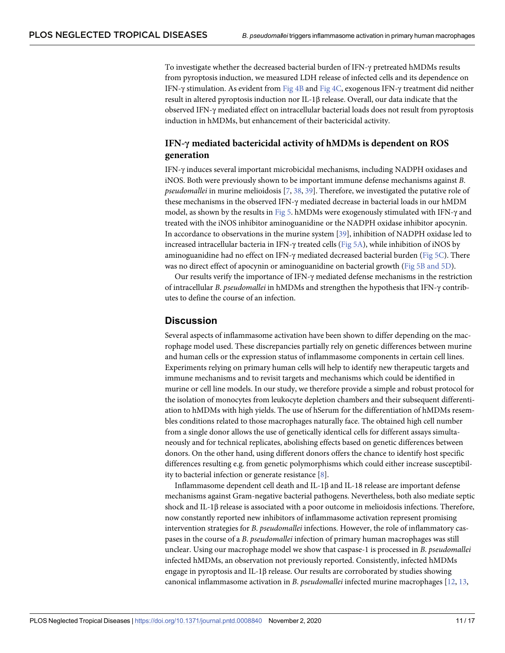<span id="page-10-0"></span>To investigate whether the decreased bacterial burden of IFN-γ pretreated hMDMs results from pyroptosis induction, we measured LDH release of infected cells and its dependence on IFN-γ stimulation. As evident from [Fig 4B](#page-9-0) and [Fig 4C,](#page-9-0) exogenous IFN-γ treatment did neither result in altered pyroptosis induction nor IL-1β release. Overall, our data indicate that the observed IFN-γ mediated effect on intracellular bacterial loads does not result from pyroptosis induction in hMDMs, but enhancement of their bactericidal activity.

# **IFN-γ mediated bactericidal activity of hMDMs is dependent on ROS generation**

IFN-γ induces several important microbicidal mechanisms, including NADPH oxidases and iNOS. Both were previously shown to be important immune defense mechanisms against *B*. *pseudomallei* in murine melioidosis [[7,](#page-13-0) [38,](#page-15-0) [39\]](#page-15-0). Therefore, we investigated the putative role of these mechanisms in the observed IFN-γ mediated decrease in bacterial loads in our hMDM model, as shown by the results in [Fig 5.](#page-11-0) hMDMs were exogenously stimulated with IFN-γ and treated with the iNOS inhibitor aminoguanidine or the NADPH oxidase inhibitor apocynin. In accordance to observations in the murine system [[39](#page-15-0)], inhibition of NADPH oxidase led to increased intracellular bacteria in IFN-γ treated cells ([Fig 5A](#page-11-0)), while inhibition of iNOS by aminoguanidine had no effect on IFN-γ mediated decreased bacterial burden [\(Fig 5C\)](#page-11-0). There was no direct effect of apocynin or aminoguanidine on bacterial growth [\(Fig 5B and 5D](#page-11-0)).

Our results verify the importance of IFN-γ mediated defense mechanisms in the restriction of intracellular *B*. *pseudomallei* in hMDMs and strengthen the hypothesis that IFN-γ contributes to define the course of an infection.

## **Discussion**

Several aspects of inflammasome activation have been shown to differ depending on the macrophage model used. These discrepancies partially rely on genetic differences between murine and human cells or the expression status of inflammasome components in certain cell lines. Experiments relying on primary human cells will help to identify new therapeutic targets and immune mechanisms and to revisit targets and mechanisms which could be identified in murine or cell line models. In our study, we therefore provide a simple and robust protocol for the isolation of monocytes from leukocyte depletion chambers and their subsequent differentiation to hMDMs with high yields. The use of hSerum for the differentiation of hMDMs resembles conditions related to those macrophages naturally face. The obtained high cell number from a single donor allows the use of genetically identical cells for different assays simultaneously and for technical replicates, abolishing effects based on genetic differences between donors. On the other hand, using different donors offers the chance to identify host specific differences resulting e.g. from genetic polymorphisms which could either increase susceptibility to bacterial infection or generate resistance [[8](#page-13-0)].

Inflammasome dependent cell death and IL-1β and IL-18 release are important defense mechanisms against Gram-negative bacterial pathogens. Nevertheless, both also mediate septic shock and IL-1β release is associated with a poor outcome in melioidosis infections. Therefore, now constantly reported new inhibitors of inflammasome activation represent promising intervention strategies for *B*. *pseudomallei* infections. However, the role of inflammatory caspases in the course of a *B*. *pseudomallei* infection of primary human macrophages was still unclear. Using our macrophage model we show that caspase-1 is processed in *B*. *pseudomallei* infected hMDMs, an observation not previously reported. Consistently, infected hMDMs engage in pyroptosis and IL-1β release. Our results are corroborated by studies showing canonical inflammasome activation in *B*. *pseudomallei* infected murine macrophages [\[12,](#page-13-0) [13,](#page-14-0)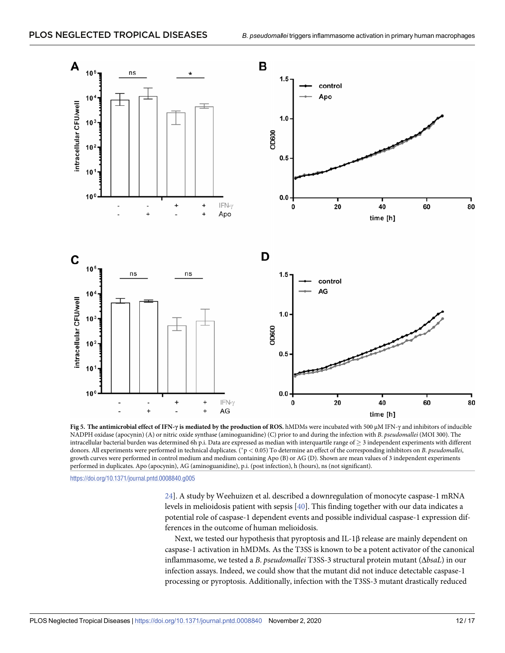#### <span id="page-11-0"></span>PLOS NEGLECTED TROPICAL DISEASES



**[Fig 5. T](#page-10-0)he antimicrobial effect of IFN-γ is mediated by the production of ROS.** hMDMs were incubated with 500 µM IFN-γ and inhibitors of inducible NADPH oxidase (apocynin) (A) or nitric oxide synthase (aminoguanidine) (C) prior to and during the infection with *B*. *pseudomallei* (MOI 300). The intracellular bacterial burden was determined 6h p.i. Data are expressed as median with interquartile range of  $\geq$  3 independent experiments with different donors. All experiments were performed in technical duplicates. (�p *<* 0.05) To determine an effect of the corresponding inhibitors on *B*. *pseudomallei*, growth curves were performed in control medium and medium containing Apo (B) or AG (D). Shown are mean values of 3 independent experiments performed in duplicates. Apo (apocynin), AG (aminoguanidine), p.i. (post infection), h (hours), ns (not significant).

<https://doi.org/10.1371/journal.pntd.0008840.g005>

[24\]](#page-14-0). A study by Weehuizen et al. described a downregulation of monocyte caspase-1 mRNA levels in melioidosis patient with sepsis [\[40\]](#page-15-0). This finding together with our data indicates a potential role of caspase-1 dependent events and possible individual caspase-1 expression differences in the outcome of human melioidosis.

Next, we tested our hypothesis that pyroptosis and IL-1β release are mainly dependent on caspase-1 activation in hMDMs. As the T3SS is known to be a potent activator of the canonical inflammasome, we tested a *B*. *pseudomallei* T3SS-3 structural protein mutant (Δ*bsaL*) in our infection assays. Indeed, we could show that the mutant did not induce detectable caspase-1 processing or pyroptosis. Additionally, infection with the T3SS-3 mutant drastically reduced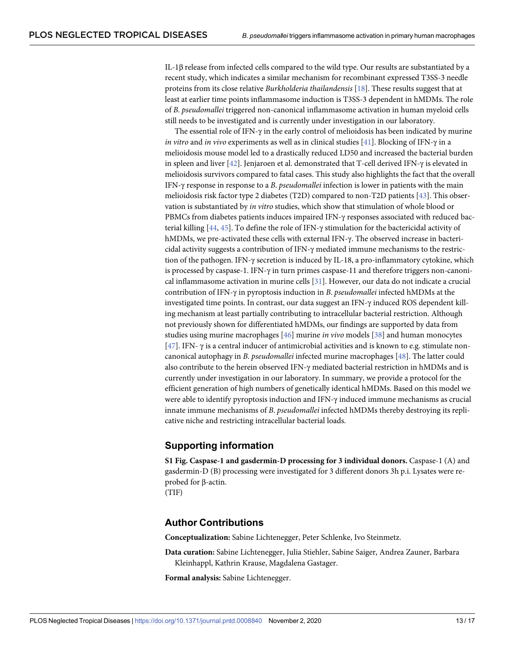<span id="page-12-0"></span>IL-1β release from infected cells compared to the wild type. Our results are substantiated by a recent study, which indicates a similar mechanism for recombinant expressed T3SS-3 needle proteins from its close relative *Burkholderia thailandensis* [\[18\]](#page-14-0). These results suggest that at least at earlier time points inflammasome induction is T3SS-3 dependent in hMDMs. The role of *B*. *pseudomallei* triggered non-canonical inflammasome activation in human myeloid cells still needs to be investigated and is currently under investigation in our laboratory.

The essential role of IFN- $\gamma$  in the early control of melioidosis has been indicated by murine *in vitro* and *in vivo* experiments as well as in clinical studies [[41](#page-15-0)]. Blocking of IFN-γ in a melioidosis mouse model led to a drastically reduced LD50 and increased the bacterial burden in spleen and liver [\[42\]](#page-15-0). Jenjaroen et al. demonstrated that T-cell derived IFN-γ is elevated in melioidosis survivors compared to fatal cases. This study also highlights the fact that the overall IFN-γ response in response to a *B*. *pseudomallei* infection is lower in patients with the main melioidosis risk factor type 2 diabetes (T2D) compared to non-T2D patients [\[43\]](#page-15-0). This observation is substantiated by *in vitro* studies, which show that stimulation of whole blood or PBMCs from diabetes patients induces impaired IFN-γ responses associated with reduced bacterial killing [[44](#page-16-0), [45](#page-16-0)]. To define the role of IFN-γ stimulation for the bactericidal activity of hMDMs, we pre-activated these cells with external IFN-γ. The observed increase in bactericidal activity suggests a contribution of IFN-γ mediated immune mechanisms to the restriction of the pathogen. IFN-γ secretion is induced by IL-18, a pro-inflammatory cytokine, which is processed by caspase-1. IFN-γ in turn primes caspase-11 and therefore triggers non-canonical inflammasome activation in murine cells [\[31\]](#page-15-0). However, our data do not indicate a crucial contribution of IFN-γ in pyroptosis induction in *B*. *pseudomallei* infected hMDMs at the investigated time points. In contrast, our data suggest an IFN-γ induced ROS dependent killing mechanism at least partially contributing to intracellular bacterial restriction. Although not previously shown for differentiated hMDMs, our findings are supported by data from studies using murine macrophages [[46](#page-16-0)] murine *in vivo* models [[38](#page-15-0)] and human monocytes [\[47\]](#page-16-0). IFN- γ is a central inducer of antimicrobial activities and is known to e.g. stimulate noncanonical autophagy in *B*. *pseudomallei* infected murine macrophages [[48](#page-16-0)]. The latter could also contribute to the herein observed IFN-γ mediated bacterial restriction in hMDMs and is currently under investigation in our laboratory. In summary, we provide a protocol for the efficient generation of high numbers of genetically identical hMDMs. Based on this model we were able to identify pyroptosis induction and IFN- $\gamma$  induced immune mechanisms as crucial innate immune mechanisms of *B*. *pseudomallei* infected hMDMs thereby destroying its replicative niche and restricting intracellular bacterial loads.

# **Supporting information**

**[S1 Fig](http://journals.plos.org/plosntds/article/asset?unique&id=info:doi/10.1371/journal.pntd.0008840.s001). Caspase-1 and gasdermin-D processing for 3 individual donors.** Caspase-1 (A) and gasdermin-D (B) processing were investigated for 3 different donors 3h p.i. Lysates were reprobed for β-actin.

(TIF)

# **Author Contributions**

**Conceptualization:** Sabine Lichtenegger, Peter Schlenke, Ivo Steinmetz.

**Data curation:** Sabine Lichtenegger, Julia Stiehler, Sabine Saiger, Andrea Zauner, Barbara Kleinhappl, Kathrin Krause, Magdalena Gastager.

**Formal analysis:** Sabine Lichtenegger.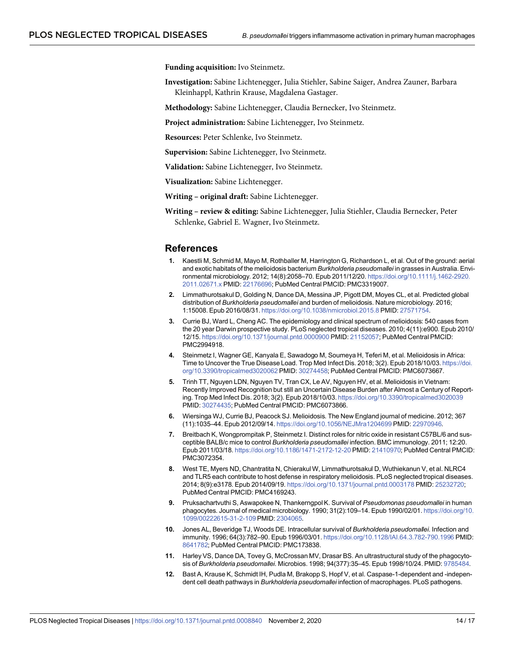<span id="page-13-0"></span>**Funding acquisition:** Ivo Steinmetz.

**Investigation:** Sabine Lichtenegger, Julia Stiehler, Sabine Saiger, Andrea Zauner, Barbara Kleinhappl, Kathrin Krause, Magdalena Gastager.

**Methodology:** Sabine Lichtenegger, Claudia Bernecker, Ivo Steinmetz.

**Project administration:** Sabine Lichtenegger, Ivo Steinmetz.

**Resources:** Peter Schlenke, Ivo Steinmetz.

**Supervision:** Sabine Lichtenegger, Ivo Steinmetz.

**Validation:** Sabine Lichtenegger, Ivo Steinmetz.

**Visualization:** Sabine Lichtenegger.

**Writing – original draft:** Sabine Lichtenegger.

**Writing – review & editing:** Sabine Lichtenegger, Julia Stiehler, Claudia Bernecker, Peter Schlenke, Gabriel E. Wagner, Ivo Steinmetz.

#### **References**

- **[1](#page-1-0).** Kaestli M, Schmid M, Mayo M, Rothballer M, Harrington G, Richardson L, et al. Out of the ground: aerial and exotic habitats of the melioidosis bacterium *Burkholderia pseudomallei* in grasses in Australia. Environmental microbiology. 2012; 14(8):2058–70. Epub 2011/12/20. [https://doi.org/10.1111/j.1462-2920.](https://doi.org/10.1111/j.1462-2920.2011.02671.x) [2011.02671.x](https://doi.org/10.1111/j.1462-2920.2011.02671.x) PMID: [22176696](http://www.ncbi.nlm.nih.gov/pubmed/22176696); PubMed Central PMCID: PMC3319007.
- **[2](#page-1-0).** Limmathurotsakul D, Golding N, Dance DA, Messina JP, Pigott DM, Moyes CL, et al. Predicted global distribution of *Burkholderia pseudomallei* and burden of melioidosis. Nature microbiology. 2016; 1:15008. Epub 2016/08/31. <https://doi.org/10.1038/nmicrobiol.2015.8> PMID: [27571754](http://www.ncbi.nlm.nih.gov/pubmed/27571754).
- **[3](#page-1-0).** Currie BJ, Ward L, Cheng AC. The epidemiology and clinical spectrum of melioidosis: 540 cases from the 20 year Darwin prospective study. PLoS neglected tropical diseases. 2010; 4(11):e900. Epub 2010/ 12/15. <https://doi.org/10.1371/journal.pntd.0000900> PMID: [21152057;](http://www.ncbi.nlm.nih.gov/pubmed/21152057) PubMed Central PMCID: PMC2994918.
- **4.** Steinmetz I, Wagner GE, Kanyala E, Sawadogo M, Soumeya H, Teferi M, et al. Melioidosis in Africa: Time to Uncover the True Disease Load. Trop Med Infect Dis. 2018; 3(2). Epub 2018/10/03. [https://doi.](https://doi.org/10.3390/tropicalmed3020062) [org/10.3390/tropicalmed3020062](https://doi.org/10.3390/tropicalmed3020062) PMID: [30274458](http://www.ncbi.nlm.nih.gov/pubmed/30274458); PubMed Central PMCID: PMC6073667.
- **[5](#page-1-0).** Trinh TT, Nguyen LDN, Nguyen TV, Tran CX, Le AV, Nguyen HV, et al. Melioidosis in Vietnam: Recently Improved Recognition but still an Uncertain Disease Burden after Almost a Century of Reporting. Trop Med Infect Dis. 2018; 3(2). Epub 2018/10/03. <https://doi.org/10.3390/tropicalmed3020039> PMID: [30274435](http://www.ncbi.nlm.nih.gov/pubmed/30274435); PubMed Central PMCID: PMC6073866.
- **[6](#page-1-0).** Wiersinga WJ, Currie BJ, Peacock SJ. Melioidosis. The New England journal of medicine. 2012; 367 (11):1035–44. Epub 2012/09/14. <https://doi.org/10.1056/NEJMra1204699> PMID: [22970946](http://www.ncbi.nlm.nih.gov/pubmed/22970946).
- **[7](#page-1-0).** Breitbach K, Wongprompitak P, Steinmetz I. Distinct roles for nitric oxide in resistant C57BL/6 and susceptible BALB/c mice to control *Burkholderia pseudomallei* infection. BMC immunology. 2011; 12:20. Epub 2011/03/18. <https://doi.org/10.1186/1471-2172-12-20> PMID: [21410970](http://www.ncbi.nlm.nih.gov/pubmed/21410970); PubMed Central PMCID: PMC3072354.
- **[8](#page-1-0).** West TE, Myers ND, Chantratita N, Chierakul W, Limmathurotsakul D, Wuthiekanun V, et al. NLRC4 and TLR5 each contribute to host defense in respiratory melioidosis. PLoS neglected tropical diseases. 2014; 8(9):e3178. Epub 2014/09/19. <https://doi.org/10.1371/journal.pntd.0003178> PMID: [25232720;](http://www.ncbi.nlm.nih.gov/pubmed/25232720) PubMed Central PMCID: PMC4169243.
- **[9](#page-1-0).** Pruksachartvuthi S, Aswapokee N, Thankerngpol K. Survival of *Pseudomonas pseudomallei* in human phagocytes. Journal of medical microbiology. 1990; 31(2):109–14. Epub 1990/02/01. [https://doi.org/10.](https://doi.org/10.1099/00222615-31-2-109) [1099/00222615-31-2-109](https://doi.org/10.1099/00222615-31-2-109) PMID: [2304065](http://www.ncbi.nlm.nih.gov/pubmed/2304065).
- **10.** Jones AL, Beveridge TJ, Woods DE. Intracellular survival of *Burkholderia pseudomallei*. Infection and immunity. 1996; 64(3):782–90. Epub 1996/03/01. <https://doi.org/10.1128/IAI.64.3.782-790.1996> PMID: [8641782](http://www.ncbi.nlm.nih.gov/pubmed/8641782); PubMed Central PMCID: PMC173838.
- **[11](#page-1-0).** Harley VS, Dance DA, Tovey G, McCrossan MV, Drasar BS. An ultrastructural study of the phagocytosis of *Burkholderia pseudomallei*. Microbios. 1998; 94(377):35–45. Epub 1998/10/24. PMID: [9785484.](http://www.ncbi.nlm.nih.gov/pubmed/9785484)
- **[12](#page-1-0).** Bast A, Krause K, Schmidt IH, Pudla M, Brakopp S, Hopf V, et al. Caspase-1-dependent and -independent cell death pathways in *Burkholderia pseudomallei* infection of macrophages. PLoS pathogens.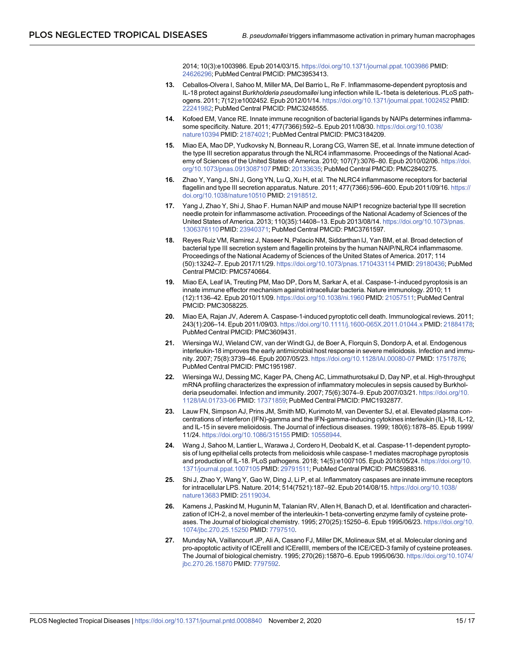2014; 10(3):e1003986. Epub 2014/03/15. <https://doi.org/10.1371/journal.ppat.1003986> PMID: [24626296](http://www.ncbi.nlm.nih.gov/pubmed/24626296); PubMed Central PMCID: PMC3953413.

- <span id="page-14-0"></span>**[13](#page-1-0).** Ceballos-Olvera I, Sahoo M, Miller MA, Del Barrio L, Re F. Inflammasome-dependent pyroptosis and IL-18 protect against *Burkholderia pseudomallei* lung infection while IL-1beta is deleterious. PLoS pathogens. 2011; 7(12):e1002452. Epub 2012/01/14. <https://doi.org/10.1371/journal.ppat.1002452> PMID: [22241982](http://www.ncbi.nlm.nih.gov/pubmed/22241982); PubMed Central PMCID: PMC3248555.
- **[14](#page-1-0).** Kofoed EM, Vance RE. Innate immune recognition of bacterial ligands by NAIPs determines inflammasome specificity. Nature. 2011; 477(7366):592–5. Epub 2011/08/30. [https://doi.org/10.1038/](https://doi.org/10.1038/nature10394) [nature10394](https://doi.org/10.1038/nature10394) PMID: [21874021](http://www.ncbi.nlm.nih.gov/pubmed/21874021); PubMed Central PMCID: PMC3184209.
- **15.** Miao EA, Mao DP, Yudkovsky N, Bonneau R, Lorang CG, Warren SE, et al. Innate immune detection of the type III secretion apparatus through the NLRC4 inflammasome. Proceedings of the National Academy of Sciences of the United States of America. 2010; 107(7):3076–80. Epub 2010/02/06. [https://doi.](https://doi.org/10.1073/pnas.0913087107) [org/10.1073/pnas.0913087107](https://doi.org/10.1073/pnas.0913087107) PMID: [20133635;](http://www.ncbi.nlm.nih.gov/pubmed/20133635) PubMed Central PMCID: PMC2840275.
- **[16](#page-1-0).** Zhao Y, Yang J, Shi J, Gong YN, Lu Q, Xu H, et al. The NLRC4 inflammasome receptors for bacterial flagellin and type III secretion apparatus. Nature. 2011; 477(7366):596-600. Epub 2011/09/16. [https://](https://doi.org/10.1038/nature10510) [doi.org/10.1038/nature10510](https://doi.org/10.1038/nature10510) PMID: [21918512.](http://www.ncbi.nlm.nih.gov/pubmed/21918512)
- **[17](#page-1-0).** Yang J, Zhao Y, Shi J, Shao F. Human NAIP and mouse NAIP1 recognize bacterial type III secretion needle protein for inflammasome activation. Proceedings of the National Academy of Sciences of the United States of America. 2013; 110(35):14408–13. Epub 2013/08/14. [https://doi.org/10.1073/pnas.](https://doi.org/10.1073/pnas.1306376110) [1306376110](https://doi.org/10.1073/pnas.1306376110)PMID: [23940371;](http://www.ncbi.nlm.nih.gov/pubmed/23940371) PubMed Central PMCID: PMC3761597.
- **[18](#page-1-0).** Reyes Ruiz VM, Ramirez J, Naseer N, Palacio NM, Siddarthan IJ, Yan BM, et al. Broad detection of bacterial type III secretion system and flagellin proteins by the human NAIP/NLRC4 inflammasome. Proceedings of the National Academy of Sciences of the United States of America. 2017; 114 (50):13242–7. Epub 2017/11/29. <https://doi.org/10.1073/pnas.1710433114> PMID: [29180436](http://www.ncbi.nlm.nih.gov/pubmed/29180436); PubMed Central PMCID: PMC5740664.
- **[19](#page-2-0).** Miao EA, Leaf IA, Treuting PM, Mao DP, Dors M, Sarkar A, et al. Caspase-1-induced pyroptosis is an innate immune effector mechanism against intracellular bacteria. Nature immunology. 2010; 11 (12):1136–42. Epub 2010/11/09. <https://doi.org/10.1038/ni.1960> PMID: [21057511](http://www.ncbi.nlm.nih.gov/pubmed/21057511); PubMed Central PMCID: PMC3058225.
- **[20](#page-2-0).** Miao EA, Rajan JV, Aderem A. Caspase-1-induced pyroptotic cell death. Immunological reviews. 2011; 243(1):206–14. Epub 2011/09/03. <https://doi.org/10.1111/j.1600-065X.2011.01044.x> PMID: [21884178;](http://www.ncbi.nlm.nih.gov/pubmed/21884178) PubMed Central PMCID: PMC3609431.
- **[21](#page-2-0).** Wiersinga WJ, Wieland CW, van der Windt GJ, de Boer A, Florquin S, Dondorp A, et al. Endogenous interleukin-18 improves the early antimicrobial host response in severe melioidosis. Infection and immunity. 2007; 75(8):3739–46. Epub 2007/05/23. <https://doi.org/10.1128/IAI.00080-07> PMID: [17517876](http://www.ncbi.nlm.nih.gov/pubmed/17517876); PubMed Central PMCID: PMC1951987.
- **22.** Wiersinga WJ, Dessing MC, Kager PA, Cheng AC, Limmathurotsakul D, Day NP, et al. High-throughput mRNA profiling characterizes the expression of inflammatory molecules in sepsis caused by Burkholderia pseudomallei. Infection and immunity. 2007; 75(6):3074–9. Epub 2007/03/21. [https://doi.org/10.](https://doi.org/10.1128/IAI.01733-06) [1128/IAI.01733-06](https://doi.org/10.1128/IAI.01733-06) PMID: [17371859;](http://www.ncbi.nlm.nih.gov/pubmed/17371859) PubMed Central PMCID: PMC1932877.
- **[23](#page-2-0).** Lauw FN, Simpson AJ, Prins JM, Smith MD, Kurimoto M, van Deventer SJ, et al. Elevated plasma concentrations of interferon (IFN)-gamma and the IFN-gamma-inducing cytokines interleukin (IL)-18, IL-12, and IL-15 in severe melioidosis. The Journal of infectious diseases. 1999; 180(6):1878–85. Epub 1999/ 11/24. <https://doi.org/10.1086/315155> PMID: [10558944](http://www.ncbi.nlm.nih.gov/pubmed/10558944).
- **[24](#page-2-0).** Wang J, Sahoo M, Lantier L, Warawa J, Cordero H, Deobald K, et al. Caspase-11-dependent pyroptosis of lung epithelial cells protects from melioidosis while caspase-1 mediates macrophage pyroptosis and production of IL-18. PLoS pathogens. 2018; 14(5):e1007105. Epub 2018/05/24. [https://doi.org/10.](https://doi.org/10.1371/journal.ppat.1007105) [1371/journal.ppat.1007105](https://doi.org/10.1371/journal.ppat.1007105) PMID: [29791511](http://www.ncbi.nlm.nih.gov/pubmed/29791511); PubMed Central PMCID: PMC5988316.
- **[25](#page-2-0).** Shi J, Zhao Y, Wang Y, Gao W, Ding J, Li P, et al. Inflammatory caspases are innate immune receptors for intracellular LPS. Nature. 2014; 514(7521):187–92. Epub 2014/08/15. [https://doi.org/10.1038/](https://doi.org/10.1038/nature13683) [nature13683](https://doi.org/10.1038/nature13683) PMID: [25119034](http://www.ncbi.nlm.nih.gov/pubmed/25119034).
- **[26](#page-2-0).** Kamens J, Paskind M, Hugunin M, Talanian RV, Allen H, Banach D, et al. Identification and characterization of ICH-2, a novel member of the interleukin-1 beta-converting enzyme family of cysteine proteases. The Journal of biological chemistry. 1995; 270(25):15250–6. Epub 1995/06/23. [https://doi.org/10.](https://doi.org/10.1074/jbc.270.25.15250) [1074/jbc.270.25.15250](https://doi.org/10.1074/jbc.270.25.15250) PMID: [7797510](http://www.ncbi.nlm.nih.gov/pubmed/7797510).
- **27.** Munday NA, Vaillancourt JP, Ali A, Casano FJ, Miller DK, Molineaux SM, et al. Molecular cloning and pro-apoptotic activity of ICErelII and ICErelIII, members of the ICE/CED-3 family of cysteine proteases. The Journal of biological chemistry. 1995; 270(26):15870–6. Epub 1995/06/30. [https://doi.org/10.1074/](https://doi.org/10.1074/jbc.270.26.15870) [jbc.270.26.15870](https://doi.org/10.1074/jbc.270.26.15870) PMID: [7797592.](http://www.ncbi.nlm.nih.gov/pubmed/7797592)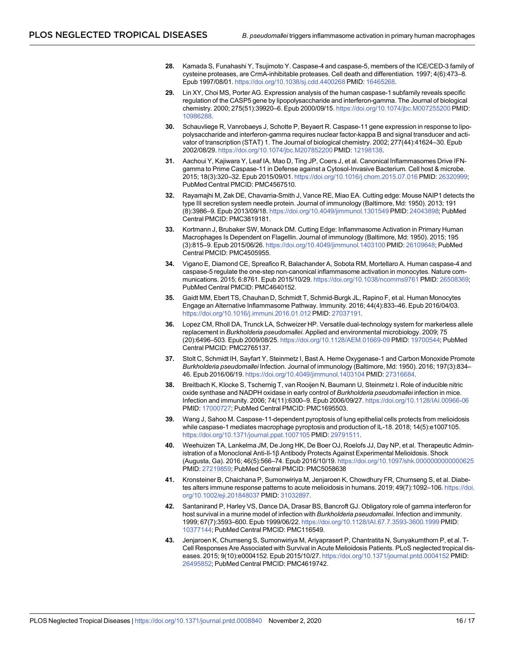- <span id="page-15-0"></span>**[28](#page-2-0).** Kamada S, Funahashi Y, Tsujimoto Y. Caspase-4 and caspase-5, members of the ICE/CED-3 family of cysteine proteases, are CrmA-inhibitable proteases. Cell death and differentiation. 1997; 4(6):473–8. Epub 1997/08/01. <https://doi.org/10.1038/sj.cdd.4400268> PMID: [16465268](http://www.ncbi.nlm.nih.gov/pubmed/16465268).
- **[29](#page-2-0).** Lin XY, Choi MS, Porter AG. Expression analysis of the human caspase-1 subfamily reveals specific regulation of the CASP5 gene by lipopolysaccharide and interferon-gamma. The Journal of biological chemistry. 2000; 275(51):39920–6. Epub 2000/09/15. <https://doi.org/10.1074/jbc.M007255200> PMID: [10986288](http://www.ncbi.nlm.nih.gov/pubmed/10986288).
- **[30](#page-2-0).** Schauvliege R, Vanrobaeys J, Schotte P, Beyaert R. Caspase-11 gene expression in response to lipopolysaccharide and interferon-gamma requires nuclear factor-kappa B and signal transducer and activator of transcription (STAT) 1. The Journal of biological chemistry. 2002; 277(44):41624–30. Epub 2002/08/29. <https://doi.org/10.1074/jbc.M207852200> PMID: [12198138.](http://www.ncbi.nlm.nih.gov/pubmed/12198138)
- **[31](#page-2-0).** Aachoui Y, Kajiwara Y, Leaf IA, Mao D, Ting JP, Coers J, et al. Canonical Inflammasomes Drive IFNgamma to Prime Caspase-11 in Defense against a Cytosol-Invasive Bacterium. Cell host & microbe. 2015; 18(3):320–32. Epub 2015/09/01. <https://doi.org/10.1016/j.chom.2015.07.016> PMID: [26320999;](http://www.ncbi.nlm.nih.gov/pubmed/26320999) PubMed Central PMCID: PMC4567510.
- **[32](#page-2-0).** Rayamajhi M, Zak DE, Chavarria-Smith J, Vance RE, Miao EA. Cutting edge: Mouse NAIP1 detects the type III secretion system needle protein. Journal of immunology (Baltimore, Md: 1950). 2013; 191 (8):3986–9. Epub 2013/09/18. <https://doi.org/10.4049/jimmunol.1301549> PMID: [24043898;](http://www.ncbi.nlm.nih.gov/pubmed/24043898) PubMed Central PMCID: PMC3819181.
- **[33](#page-2-0).** Kortmann J, Brubaker SW, Monack DM. Cutting Edge: Inflammasome Activation in Primary Human Macrophages Is Dependent on Flagellin. Journal of immunology (Baltimore, Md: 1950). 2015; 195 (3):815–9. Epub 2015/06/26. <https://doi.org/10.4049/jimmunol.1403100> PMID: [26109648](http://www.ncbi.nlm.nih.gov/pubmed/26109648); PubMed Central PMCID: PMC4505955.
- **[34](#page-2-0).** Vigano E, Diamond CE, Spreafico R, Balachander A, Sobota RM, Mortellaro A. Human caspase-4 and caspase-5 regulate the one-step non-canonical inflammasome activation in monocytes. Nature communications. 2015; 6:8761. Epub 2015/10/29. <https://doi.org/10.1038/ncomms9761> PMID: [26508369](http://www.ncbi.nlm.nih.gov/pubmed/26508369); PubMed Central PMCID: PMC4640152.
- **[35](#page-2-0).** Gaidt MM, Ebert TS, Chauhan D, Schmidt T, Schmid-Burgk JL, Rapino F, et al. Human Monocytes Engage an Alternative Inflammasome Pathway. Immunity. 2016; 44(4):833–46. Epub 2016/04/03. <https://doi.org/10.1016/j.immuni.2016.01.012> PMID: [27037191](http://www.ncbi.nlm.nih.gov/pubmed/27037191).
- **[36](#page-3-0).** Lopez CM, Rholl DA, Trunck LA, Schweizer HP. Versatile dual-technology system for markerless allele replacement in *Burkholderia pseudomallei*. Applied and environmental microbiology. 2009; 75 (20):6496–503. Epub 2009/08/25. <https://doi.org/10.1128/AEM.01669-09> PMID: [19700544](http://www.ncbi.nlm.nih.gov/pubmed/19700544); PubMed Central PMCID: PMC2765137.
- **[37](#page-4-0).** Stolt C, Schmidt IH, Sayfart Y, Steinmetz I, Bast A. Heme Oxygenase-1 and Carbon Monoxide Promote *Burkholderia pseudomallei* Infection. Journal of immunology (Baltimore, Md: 1950). 2016; 197(3):834– 46. Epub 2016/06/19. <https://doi.org/10.4049/jimmunol.1403104> PMID: [27316684.](http://www.ncbi.nlm.nih.gov/pubmed/27316684)
- **[38](#page-10-0).** Breitbach K, Klocke S, Tschernig T, van Rooijen N, Baumann U, Steinmetz I. Role of inducible nitric oxide synthase and NADPH oxidase in early control of *Burkholderia pseudomallei* infection in mice. Infection and immunity. 2006; 74(11):6300–9. Epub 2006/09/27. <https://doi.org/10.1128/IAI.00966-06> PMID: [17000727](http://www.ncbi.nlm.nih.gov/pubmed/17000727); PubMed Central PMCID: PMC1695503.
- **[39](#page-10-0).** Wang J, Sahoo M. Caspase-11-dependent pyroptosis of lung epithelial cells protects from melioidosis while caspase-1 mediates macrophage pyroptosis and production of IL-18. 2018; 14(5):e1007105. <https://doi.org/10.1371/journal.ppat.1007105> PMID: [29791511](http://www.ncbi.nlm.nih.gov/pubmed/29791511).
- **[40](#page-11-0).** Weehuizen TA, Lankelma JM, De Jong HK, De Boer OJ, Roelofs JJ, Day NP, et al. Therapeutic Administration of a Monoclonal Anti-Il-1β Antibody Protects Against Experimental Melioidosis. Shock (Augusta, Ga). 2016; 46(5):566–74. Epub 2016/10/19. <https://doi.org/10.1097/shk.0000000000000625> PMID: [27219859](http://www.ncbi.nlm.nih.gov/pubmed/27219859); PubMed Central PMCID: PMC5058638
- **[41](#page-12-0).** Kronsteiner B, Chaichana P, Sumonwiriya M, Jenjaroen K, Chowdhury FR, Chumseng S, et al. Diabetes alters immune response patterns to acute melioidosis in humans. 2019; 49(7):1092–106. [https://doi.](https://doi.org/10.1002/eji.201848037) [org/10.1002/eji.201848037](https://doi.org/10.1002/eji.201848037) PMID: [31032897](http://www.ncbi.nlm.nih.gov/pubmed/31032897).
- **[42](#page-12-0).** Santanirand P, Harley VS, Dance DA, Drasar BS, Bancroft GJ. Obligatory role of gamma interferon for host survival in a murine model of infection with *Burkholderia pseudomallei*. Infection and immunity. 1999; 67(7):3593–600. Epub 1999/06/22. <https://doi.org/10.1128/IAI.67.7.3593-3600.1999> PMID: [10377144](http://www.ncbi.nlm.nih.gov/pubmed/10377144); PubMed Central PMCID: PMC116549.
- **[43](#page-12-0).** Jenjaroen K, Chumseng S, Sumonwiriya M, Ariyaprasert P, Chantratita N, Sunyakumthorn P, et al. T-Cell Responses Are Associated with Survival in Acute Melioidosis Patients. PLoS neglected tropical diseases. 2015; 9(10):e0004152. Epub 2015/10/27. <https://doi.org/10.1371/journal.pntd.0004152> PMID: [26495852](http://www.ncbi.nlm.nih.gov/pubmed/26495852); PubMed Central PMCID: PMC4619742.